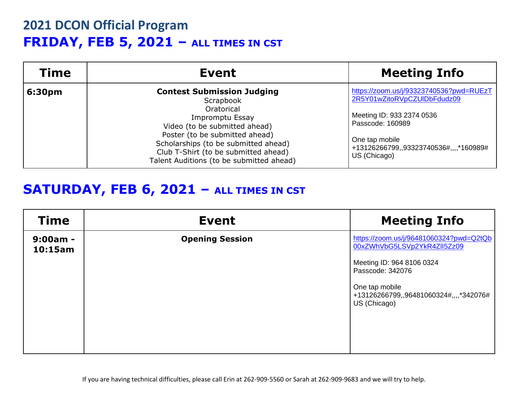# **2021 DCON Official Program FRIDAY, FEB 5, 2021 – ALL TIMES IN CST**

| <b>Time</b> | Event                                                                                                                                                                                                                                                                          | <b>Meeting Info</b>                                                                                                                                                                                 |
|-------------|--------------------------------------------------------------------------------------------------------------------------------------------------------------------------------------------------------------------------------------------------------------------------------|-----------------------------------------------------------------------------------------------------------------------------------------------------------------------------------------------------|
| 6:30pm      | <b>Contest Submission Judging</b><br>Scrapbook<br>Oratorical<br>Impromptu Essay<br>Video (to be submitted ahead)<br>Poster (to be submitted ahead)<br>Scholarships (to be submitted ahead)<br>Club T-Shirt (to be submitted ahead)<br>Talent Auditions (to be submitted ahead) | https://zoom.us/j/93323740536?pwd=RUEzT<br>2R5Y01wZitoRVpCZUIDbFdudz09<br>Meeting ID: 933 2374 0536<br>Passcode: 160989<br>One tap mobile<br>+13126266799,,93323740536#,,,,*160989#<br>US (Chicago) |

#### **SATURDAY, FEB 6, 2021 – ALL TIMES IN CST**

| <b>Time</b>           | <b>Event</b>           | <b>Meeting Info</b>                                                      |
|-----------------------|------------------------|--------------------------------------------------------------------------|
| $9:00am -$<br>10:15am | <b>Opening Session</b> | https://zoom.us/j/96481060324?pwd=Q2tQb<br>00xZWhVbG5LSVp2YkR4Zll5Zz09   |
|                       |                        | Meeting ID: 964 8106 0324<br>Passcode: 342076                            |
|                       |                        | One tap mobile<br>+13126266799,,96481060324#,,,,*342076#<br>US (Chicago) |
|                       |                        |                                                                          |
|                       |                        |                                                                          |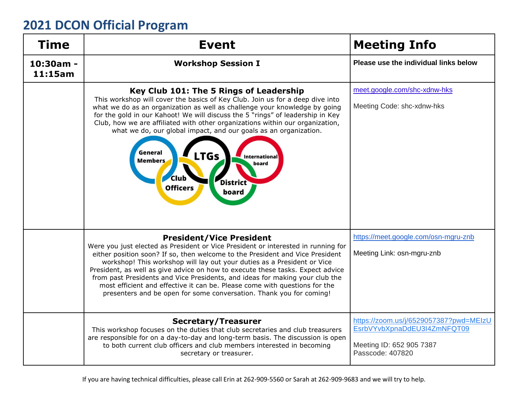| <b>Time</b>          | <b>Event</b>                                                                                                                                                                                                                                                                                                                                                                                                                                                                                                                                                                                            | <b>Meeting Info</b>                                                                                                   |
|----------------------|---------------------------------------------------------------------------------------------------------------------------------------------------------------------------------------------------------------------------------------------------------------------------------------------------------------------------------------------------------------------------------------------------------------------------------------------------------------------------------------------------------------------------------------------------------------------------------------------------------|-----------------------------------------------------------------------------------------------------------------------|
| 10:30am -<br>11:15am | <b>Workshop Session I</b>                                                                                                                                                                                                                                                                                                                                                                                                                                                                                                                                                                               | Please use the individual links below                                                                                 |
|                      | Key Club 101: The 5 Rings of Leadership<br>This workshop will cover the basics of Key Club. Join us for a deep dive into<br>what we do as an organization as well as challenge your knowledge by going<br>for the gold in our Kahoot! We will discuss the 5 "rings" of leadership in Key<br>Club, how we are affiliated with other organizations within our organization,<br>what we do, our global impact, and our goals as an organization.<br>General<br>LTGs<br><b>International</b><br><b>Members</b><br>board<br><b>Club</b><br><b>District</b><br><b>Officers</b><br>board                       | meet.google.com/shc-xdnw-hks<br>Meeting Code: shc-xdnw-hks                                                            |
|                      | <b>President/Vice President</b><br>Were you just elected as President or Vice President or interested in running for<br>either position soon? If so, then welcome to the President and Vice President<br>workshop! This workshop will lay out your duties as a President or Vice<br>President, as well as give advice on how to execute these tasks. Expect advice<br>from past Presidents and Vice Presidents, and ideas for making your club the<br>most efficient and effective it can be. Please come with questions for the<br>presenters and be open for some conversation. Thank you for coming! | https://meet.google.com/osn-mgru-znb<br>Meeting Link: osn-mgru-znb                                                    |
|                      | <b>Secretary/Treasurer</b><br>This workshop focuses on the duties that club secretaries and club treasurers<br>are responsible for on a day-to-day and long-term basis. The discussion is open<br>to both current club officers and club members interested in becoming<br>secretary or treasurer.                                                                                                                                                                                                                                                                                                      | https://zoom.us/j/6529057387?pwd=MEIzU<br>EsrbVYvbXpnaDdEU3I4ZmNFQT09<br>Meeting ID: 652 905 7387<br>Passcode: 407820 |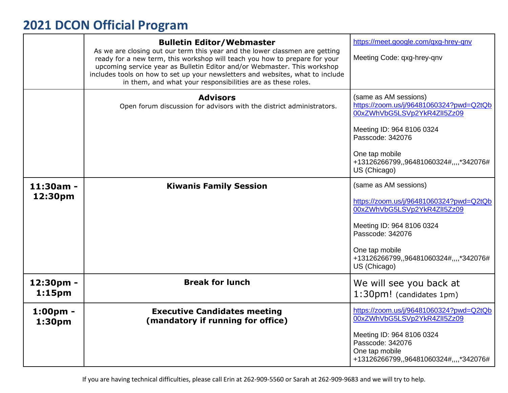|                                 | <b>Bulletin Editor/Webmaster</b><br>As we are closing out our term this year and the lower classmen are getting<br>ready for a new term, this workshop will teach you how to prepare for your<br>upcoming service year as Bulletin Editor and/or Webmaster. This workshop<br>includes tools on how to set up your newsletters and websites, what to include<br>in them, and what your responsibilities are as these roles. | https://meet.google.com/qxg-hrey-qnv<br>Meeting Code: qxg-hrey-qnv                                                           |
|---------------------------------|----------------------------------------------------------------------------------------------------------------------------------------------------------------------------------------------------------------------------------------------------------------------------------------------------------------------------------------------------------------------------------------------------------------------------|------------------------------------------------------------------------------------------------------------------------------|
|                                 | <b>Advisors</b><br>Open forum discussion for advisors with the district administrators.                                                                                                                                                                                                                                                                                                                                    | (same as AM sessions)<br>https://zoom.us/j/96481060324?pwd=Q2tQb<br>00xZWhVbG5LSVp2YkR4Zll5Zz09<br>Meeting ID: 964 8106 0324 |
|                                 |                                                                                                                                                                                                                                                                                                                                                                                                                            | Passcode: 342076<br>One tap mobile<br>+13126266799,,96481060324#,,,,*342076#<br>US (Chicago)                                 |
| 11:30am -<br>12:30pm            | <b>Kiwanis Family Session</b>                                                                                                                                                                                                                                                                                                                                                                                              | (same as AM sessions)<br>https://zoom.us/j/96481060324?pwd=Q2tQb<br>00xZWhVbG5LSVp2YkR4Zll5Zz09                              |
|                                 |                                                                                                                                                                                                                                                                                                                                                                                                                            | Meeting ID: 964 8106 0324<br>Passcode: 342076<br>One tap mobile<br>+13126266799,,96481060324#,,,,*342076#<br>US (Chicago)    |
| 12:30pm -<br>1:15 <sub>pm</sub> | <b>Break for lunch</b>                                                                                                                                                                                                                                                                                                                                                                                                     | We will see you back at<br>1:30pm! (candidates 1pm)                                                                          |
| $1:00pm -$<br>1:30pm            | <b>Executive Candidates meeting</b><br>(mandatory if running for office)                                                                                                                                                                                                                                                                                                                                                   | https://zoom.us/j/96481060324?pwd=Q2tQb<br>00xZWhVbG5LSVp2YkR4Zll5Zz09                                                       |
|                                 |                                                                                                                                                                                                                                                                                                                                                                                                                            | Meeting ID: 964 8106 0324<br>Passcode: 342076<br>One tap mobile<br>+13126266799,,96481060324#,,,,*342076#                    |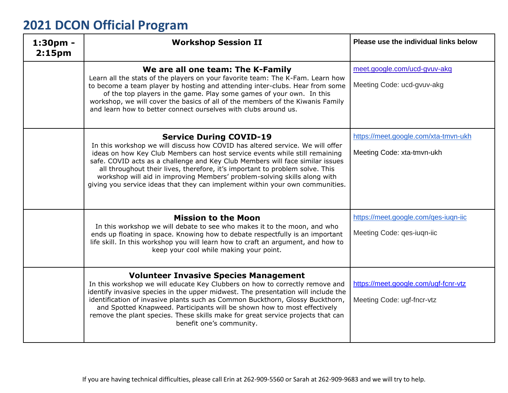| $1:30pm -$<br>2:15 <sub>pm</sub> | <b>Workshop Session II</b>                                                                                                                                                                                                                                                                                                                                                                                                                                                                                                    | Please use the individual links below                              |
|----------------------------------|-------------------------------------------------------------------------------------------------------------------------------------------------------------------------------------------------------------------------------------------------------------------------------------------------------------------------------------------------------------------------------------------------------------------------------------------------------------------------------------------------------------------------------|--------------------------------------------------------------------|
|                                  | We are all one team: The K-Family<br>Learn all the stats of the players on your favorite team: The K-Fam. Learn how<br>to become a team player by hosting and attending inter-clubs. Hear from some<br>of the top players in the game. Play some games of your own. In this<br>workshop, we will cover the basics of all of the members of the Kiwanis Family<br>and learn how to better connect ourselves with clubs around us.                                                                                              | meet.google.com/ucd-gvuv-akq<br>Meeting Code: ucd-gvuv-akg         |
|                                  | <b>Service During COVID-19</b><br>In this workshop we will discuss how COVID has altered service. We will offer<br>ideas on how Key Club Members can host service events while still remaining<br>safe. COVID acts as a challenge and Key Club Members will face similar issues<br>all throughout their lives, therefore, it's important to problem solve. This<br>workshop will aid in improving Members' problem-solving skills along with<br>giving you service ideas that they can implement within your own communities. | https://meet.google.com/xta-tmvn-ukh<br>Meeting Code: xta-tmvn-ukh |
|                                  | <b>Mission to the Moon</b><br>In this workshop we will debate to see who makes it to the moon, and who<br>ends up floating in space. Knowing how to debate respectfully is an important<br>life skill. In this workshop you will learn how to craft an argument, and how to<br>keep your cool while making your point.                                                                                                                                                                                                        | https://meet.google.com/qes-iuqn-iic<br>Meeting Code: ges-iugn-iic |
|                                  | <b>Volunteer Invasive Species Management</b><br>In this workshop we will educate Key Clubbers on how to correctly remove and<br>identify invasive species in the upper midwest. The presentation will include the<br>identification of invasive plants such as Common Buckthorn, Glossy Buckthorn,<br>and Spotted Knapweed. Participants will be shown how to most effectively<br>remove the plant species. These skills make for great service projects that can<br>benefit one's community.                                 | https://meet.google.com/ugf-fcnr-vtz<br>Meeting Code: ugf-fncr-vtz |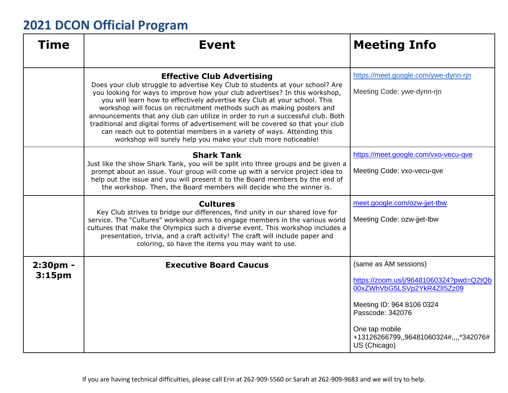| Time                           | <b>Event</b>                                                                                                                                                                                                                                                                                                                                                                                                                                                                                                                                                                                                                                                               | <b>Meeting Info</b>                                                                                                                                                                                                          |
|--------------------------------|----------------------------------------------------------------------------------------------------------------------------------------------------------------------------------------------------------------------------------------------------------------------------------------------------------------------------------------------------------------------------------------------------------------------------------------------------------------------------------------------------------------------------------------------------------------------------------------------------------------------------------------------------------------------------|------------------------------------------------------------------------------------------------------------------------------------------------------------------------------------------------------------------------------|
|                                | <b>Effective Club Advertising</b><br>Does your club struggle to advertise Key Club to students at your school? Are<br>you looking for ways to improve how your club advertises? In this workshop,<br>you will learn how to effectively advertise Key Club at your school. This<br>workshop will focus on recruitment methods such as making posters and<br>announcements that any club can utilize in order to run a successful club. Both<br>traditional and digital forms of advertisement will be covered so that your club<br>can reach out to potential members in a variety of ways. Attending this<br>workshop will surely help you make your club more noticeable! | https://meet.google.com/ywe-dynn-rin<br>Meeting Code: ywe-dynn-rjn                                                                                                                                                           |
|                                | <b>Shark Tank</b><br>Just like the show Shark Tank, you will be split into three groups and be given a<br>prompt about an issue. Your group will come up with a service project idea to<br>help out the issue and you will present it to the Board members by the end of<br>the workshop. Then, the Board members will decide who the winner is.                                                                                                                                                                                                                                                                                                                           | https://meet.google.com/vxo-vecu-qve<br>Meeting Code: vxo-vecu-qve                                                                                                                                                           |
|                                | <b>Cultures</b><br>Key Club strives to bridge our differences, find unity in our shared love for<br>service. The "Cultures" workshop aims to engage members in the various world<br>cultures that make the Olympics such a diverse event. This workshop includes a<br>presentation, trivia, and a craft activity! The craft will include paper and<br>coloring, so have the items you may want to use.                                                                                                                                                                                                                                                                     | meet.google.com/ozw-jjet-tbw<br>Meeting Code: ozw-jjet-tbw                                                                                                                                                                   |
| 2:30pm -<br>3:15 <sub>pm</sub> | <b>Executive Board Caucus</b>                                                                                                                                                                                                                                                                                                                                                                                                                                                                                                                                                                                                                                              | (same as AM sessions)<br>https://zoom.us/j/96481060324?pwd=Q2tQb<br>00xZWhVbG5LSVp2YkR4ZlI5Zz09<br>Meeting ID: 964 8106 0324<br>Passcode: 342076<br>One tap mobile<br>+13126266799,,96481060324#,,,,*342076#<br>US (Chicago) |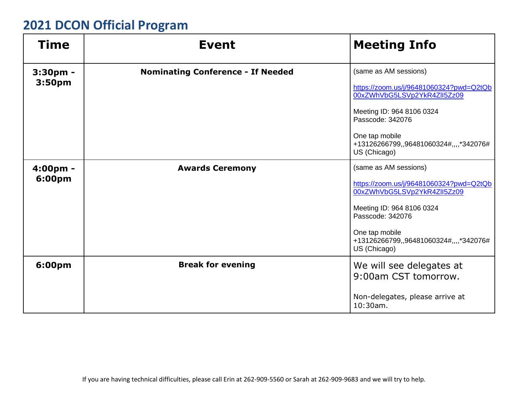| Time               | <b>Event</b>                             | <b>Meeting Info</b>                                                      |
|--------------------|------------------------------------------|--------------------------------------------------------------------------|
| $3:30pm$ -         | <b>Nominating Conference - If Needed</b> | (same as AM sessions)                                                    |
| 3:50 <sub>pm</sub> |                                          | https://zoom.us/j/96481060324?pwd=Q2tQb<br>00xZWhVbG5LSVp2YkR4Zll5Zz09   |
|                    |                                          | Meeting ID: 964 8106 0324<br>Passcode: 342076                            |
|                    |                                          | One tap mobile<br>+13126266799,,96481060324#,,,,*342076#<br>US (Chicago) |
| 4:00pm -           | <b>Awards Ceremony</b>                   | (same as AM sessions)                                                    |
| 6:00pm             |                                          | https://zoom.us/j/96481060324?pwd=Q2tQb<br>00xZWhVbG5LSVp2YkR4Zll5Zz09   |
|                    |                                          | Meeting ID: 964 8106 0324<br>Passcode: 342076                            |
|                    |                                          | One tap mobile<br>+13126266799,,96481060324#,,,,*342076#<br>US (Chicago) |
| 6:00pm             | <b>Break for evening</b>                 | We will see delegates at<br>9:00am CST tomorrow.                         |
|                    |                                          | Non-delegates, please arrive at<br>$10:30$ am.                           |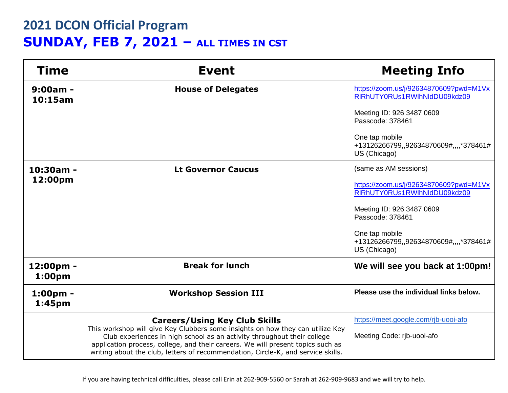# **2021 DCON Official Program SUNDAY, FEB 7, 2021 – ALL TIMES IN CST**

| <b>Time</b>                     | <b>Event</b>                                                                                                                                                                                                                                                                                                                     | <b>Meeting Info</b>                                                      |
|---------------------------------|----------------------------------------------------------------------------------------------------------------------------------------------------------------------------------------------------------------------------------------------------------------------------------------------------------------------------------|--------------------------------------------------------------------------|
| $9:00am -$<br>10:15am           | <b>House of Delegates</b>                                                                                                                                                                                                                                                                                                        | https://zoom.us/j/92634870609?pwd=M1Vx<br>RIRhUTY0RUs1RWIhNIdDU09kdz09   |
|                                 |                                                                                                                                                                                                                                                                                                                                  | Meeting ID: 926 3487 0609<br>Passcode: 378461                            |
|                                 |                                                                                                                                                                                                                                                                                                                                  | One tap mobile<br>+13126266799,,92634870609#,,,,*378461#<br>US (Chicago) |
| $10:30am -$                     | <b>Lt Governor Caucus</b>                                                                                                                                                                                                                                                                                                        | (same as AM sessions)                                                    |
| 12:00pm                         |                                                                                                                                                                                                                                                                                                                                  | https://zoom.us/j/92634870609?pwd=M1Vx<br>RIRhUTY0RUs1RWIhNIdDU09kdz09   |
|                                 |                                                                                                                                                                                                                                                                                                                                  | Meeting ID: 926 3487 0609<br>Passcode: 378461                            |
|                                 |                                                                                                                                                                                                                                                                                                                                  | One tap mobile<br>+13126266799,,92634870609#,,,,*378461#<br>US (Chicago) |
| 12:00pm -<br>1:00 <sub>pm</sub> | <b>Break for lunch</b>                                                                                                                                                                                                                                                                                                           | We will see you back at 1:00pm!                                          |
| $1:00pm -$<br>1:45pm            | <b>Workshop Session III</b>                                                                                                                                                                                                                                                                                                      | Please use the individual links below.                                   |
|                                 | <b>Careers/Using Key Club Skills</b>                                                                                                                                                                                                                                                                                             | https://meet.google.com/rjb-uooi-afo                                     |
|                                 | This workshop will give Key Clubbers some insights on how they can utilize Key<br>Club experiences in high school as an activity throughout their college<br>application process, college, and their careers. We will present topics such as<br>writing about the club, letters of recommendation, Circle-K, and service skills. | Meeting Code: rib-uooi-afo                                               |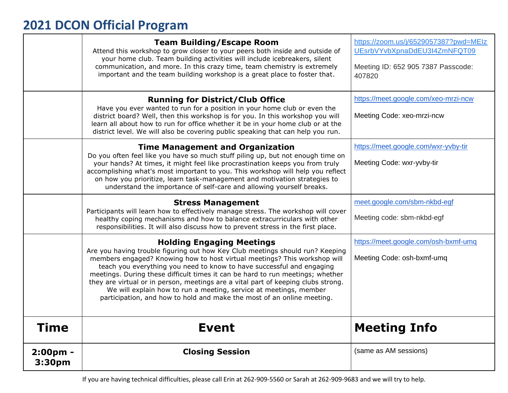|                    | <b>Team Building/Escape Room</b><br>Attend this workshop to grow closer to your peers both inside and outside of<br>your home club. Team building activities will include icebreakers, silent<br>communication, and more. In this crazy time, team chemistry is extremely<br>important and the team building workshop is a great place to foster that.                                                                                                                                                                                                                                        | https://zoom.us/j/6529057387?pwd=MEIz<br>UEsrbVYvbXpnaDdEU3I4ZmNFQT09<br>Meeting ID: 652 905 7387 Passcode:<br>407820 |
|--------------------|-----------------------------------------------------------------------------------------------------------------------------------------------------------------------------------------------------------------------------------------------------------------------------------------------------------------------------------------------------------------------------------------------------------------------------------------------------------------------------------------------------------------------------------------------------------------------------------------------|-----------------------------------------------------------------------------------------------------------------------|
|                    | <b>Running for District/Club Office</b><br>Have you ever wanted to run for a position in your home club or even the<br>district board? Well, then this workshop is for you. In this workshop you will<br>learn all about how to run for office whether it be in your home club or at the<br>district level. We will also be covering public speaking that can help you run.                                                                                                                                                                                                                   | https://meet.google.com/xeo-mrzi-ncw<br>Meeting Code: xeo-mrzi-ncw                                                    |
|                    | <b>Time Management and Organization</b><br>Do you often feel like you have so much stuff piling up, but not enough time on<br>your hands? At times, it might feel like procrastination keeps you from truly<br>accomplishing what's most important to you. This workshop will help you reflect<br>on how you prioritize, learn task-management and motivation strategies to<br>understand the importance of self-care and allowing yourself breaks.                                                                                                                                           | https://meet.google.com/wxr-yvby-tir<br>Meeting Code: wxr-yvby-tir                                                    |
|                    | <b>Stress Management</b><br>Participants will learn how to effectively manage stress. The workshop will cover<br>healthy coping mechanisms and how to balance extracurriculars with other<br>responsibilities. It will also discuss how to prevent stress in the first place.                                                                                                                                                                                                                                                                                                                 | meet.google.com/sbm-nkbd-egf<br>Meeting code: sbm-nkbd-egf                                                            |
|                    | <b>Holding Engaging Meetings</b><br>Are you having trouble figuring out how Key Club meetings should run? Keeping<br>members engaged? Knowing how to host virtual meetings? This workshop will<br>teach you everything you need to know to have successful and engaging<br>meetings. During these difficult times it can be hard to run meetings; whether<br>they are virtual or in person, meetings are a vital part of keeping clubs strong.<br>We will explain how to run a meeting, service at meetings, member<br>participation, and how to hold and make the most of an online meeting. | https://meet.google.com/osh-bxmf-umg<br>Meeting Code: osh-bxmf-umq                                                    |
| <b>Time</b>        | <b>Event</b>                                                                                                                                                                                                                                                                                                                                                                                                                                                                                                                                                                                  | <b>Meeting Info</b>                                                                                                   |
| 2:00pm -<br>3:30pm | <b>Closing Session</b>                                                                                                                                                                                                                                                                                                                                                                                                                                                                                                                                                                        | (same as AM sessions)                                                                                                 |